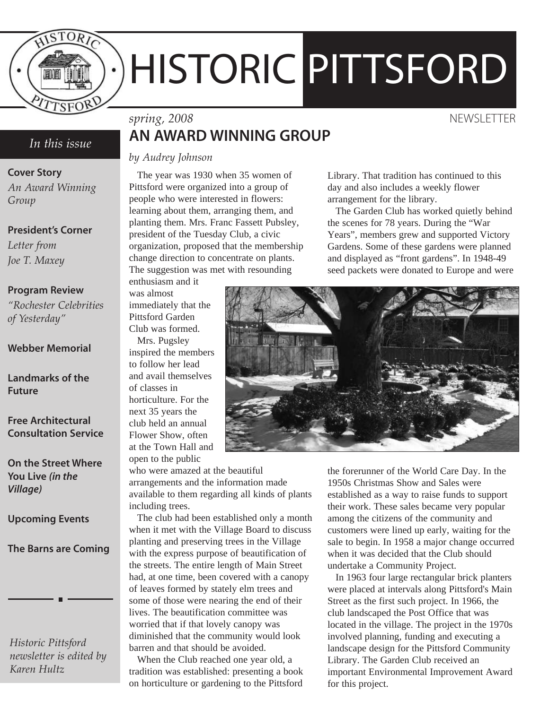

# HISTORIC PITTSFORD

#### *In this issue*

**Cover Story**

*An Award Winning Group*

#### **President's Corner**

*Letter from Joe T. Maxey*

#### **Program Review**

*"Rochester Celebrities of Yesterday"*

#### **Webber Memorial**

**Landmarks of the Future**

**Free Architectural Consultation Service**

**On the Street Where You Live** *(in the Village)*

**Upcoming Events**

**The Barns are Coming**

*Historic Pittsford newsletter is edited by Karen Hultz*

## *spring, 2008* NEWSLETTER **AN AWARD WINNING GROUP**

*by Audrey Johnson*

The year was 1930 when 35 women of Pittsford were organized into a group of people who were interested in flowers: learning about them, arranging them, and planting them. Mrs. Franc Fassett Pubsley, president of the Tuesday Club, a civic organization, proposed that the membership change direction to concentrate on plants. The suggestion was met with resounding

Library. That tradition has continued to this day and also includes a weekly flower arrangement for the library.

The Garden Club has worked quietly behind the scenes for 78 years. During the "War Years", members grew and supported Victory Gardens. Some of these gardens were planned and displayed as "front gardens". In 1948-49 seed packets were donated to Europe and were

enthusiasm and it was almost immediately that the Pittsford Garden Club was formed. Mrs. Pugsley inspired the members to follow her lead and avail themselves of classes in horticulture. For the next 35 years the club held an annual Flower Show, often at the Town Hall and open to the public

who were amazed at the beautiful arrangements and the information made available to them regarding all kinds of plants including trees.

The club had been established only a month when it met with the Village Board to discuss planting and preserving trees in the Village with the express purpose of beautification of the streets. The entire length of Main Street had, at one time, been covered with a canopy of leaves formed by stately elm trees and some of those were nearing the end of their lives. The beautification committee was worried that if that lovely canopy was diminished that the community would look barren and that should be avoided.

When the Club reached one year old, a tradition was established: presenting a book on horticulture or gardening to the Pittsford



the forerunner of the World Care Day. In the 1950s Christmas Show and Sales were established as a way to raise funds to support their work. These sales became very popular among the citizens of the community and customers were lined up early, waiting for the sale to begin. In 1958 a major change occurred when it was decided that the Club should undertake a Community Project.

In 1963 four large rectangular brick planters were placed at intervals along Pittsford's Main Street as the first such project. In 1966, the club landscaped the Post Office that was located in the village. The project in the 1970s involved planning, funding and executing a landscape design for the Pittsford Community Library. The Garden Club received an important Environmental Improvement Award for this project.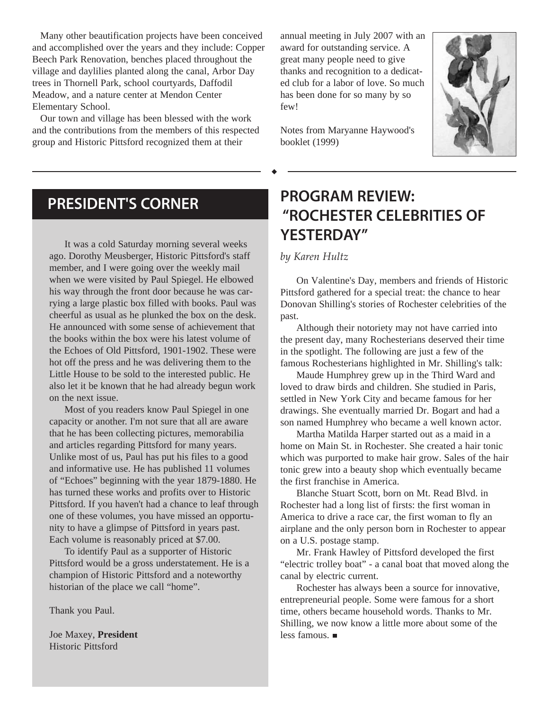Many other beautification projects have been conceived and accomplished over the years and they include: Copper Beech Park Renovation, benches placed throughout the village and daylilies planted along the canal, Arbor Day trees in Thornell Park, school courtyards, Daffodil Meadow, and a nature center at Mendon Center Elementary School.

Our town and village has been blessed with the work and the contributions from the members of this respected group and Historic Pittsford recognized them at their

annual meeting in July 2007 with an award for outstanding service. A great many people need to give thanks and recognition to a dedicated club for a labor of love. So much has been done for so many by so few!

Notes from Maryanne Haywood's booklet (1999)



## **PRESIDENT'S CORNER**

It was a cold Saturday morning several weeks ago. Dorothy Meusberger, Historic Pittsford's staff member, and I were going over the weekly mail when we were visited by Paul Spiegel. He elbowed his way through the front door because he was carrying a large plastic box filled with books. Paul was cheerful as usual as he plunked the box on the desk. He announced with some sense of achievement that the books within the box were his latest volume of the Echoes of Old Pittsford, 1901-1902. These were hot off the press and he was delivering them to the Little House to be sold to the interested public. He also let it be known that he had already begun work on the next issue.

Most of you readers know Paul Spiegel in one capacity or another. I'm not sure that all are aware that he has been collecting pictures, memorabilia and articles regarding Pittsford for many years. Unlike most of us, Paul has put his files to a good and informative use. He has published 11 volumes of "Echoes" beginning with the year 1879-1880. He has turned these works and profits over to Historic Pittsford. If you haven't had a chance to leaf through one of these volumes, you have missed an opportunity to have a glimpse of Pittsford in years past. Each volume is reasonably priced at \$7.00.

To identify Paul as a supporter of Historic Pittsford would be a gross understatement. He is a champion of Historic Pittsford and a noteworthy historian of the place we call "home".

Thank you Paul.

Joe Maxey, **President**  Historic Pittsford

# **PROGRAM REVIEW: "ROCHESTER CELEBRITIES OF YESTERDAY"**

*by Karen Hultz*

On Valentine's Day, members and friends of Historic Pittsford gathered for a special treat: the chance to hear Donovan Shilling's stories of Rochester celebrities of the past.

Although their notoriety may not have carried into the present day, many Rochesterians deserved their time in the spotlight. The following are just a few of the famous Rochesterians highlighted in Mr. Shilling's talk:

Maude Humphrey grew up in the Third Ward and loved to draw birds and children. She studied in Paris, settled in New York City and became famous for her drawings. She eventually married Dr. Bogart and had a son named Humphrey who became a well known actor.

Martha Matilda Harper started out as a maid in a home on Main St. in Rochester. She created a hair tonic which was purported to make hair grow. Sales of the hair tonic grew into a beauty shop which eventually became the first franchise in America.

Blanche Stuart Scott, born on Mt. Read Blvd. in Rochester had a long list of firsts: the first woman in America to drive a race car, the first woman to fly an airplane and the only person born in Rochester to appear on a U.S. postage stamp.

Mr. Frank Hawley of Pittsford developed the first "electric trolley boat" - a canal boat that moved along the canal by electric current.

Rochester has always been a source for innovative, entrepreneurial people. Some were famous for a short time, others became household words. Thanks to Mr. Shilling, we now know a little more about some of the less famous.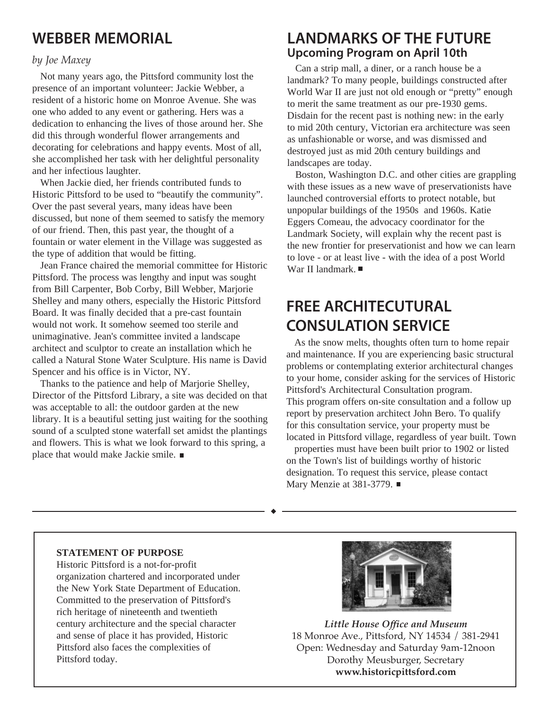# **WEBBER MEMORIAL**

#### *by Joe Maxey*

Not many years ago, the Pittsford community lost the presence of an important volunteer: Jackie Webber, a resident of a historic home on Monroe Avenue. She was one who added to any event or gathering. Hers was a dedication to enhancing the lives of those around her. She did this through wonderful flower arrangements and decorating for celebrations and happy events. Most of all, she accomplished her task with her delightful personality and her infectious laughter.

When Jackie died, her friends contributed funds to Historic Pittsford to be used to "beautify the community". Over the past several years, many ideas have been discussed, but none of them seemed to satisfy the memory of our friend. Then, this past year, the thought of a fountain or water element in the Village was suggested as the type of addition that would be fitting.

Jean France chaired the memorial committee for Historic Pittsford. The process was lengthy and input was sought from Bill Carpenter, Bob Corby, Bill Webber, Marjorie Shelley and many others, especially the Historic Pittsford Board. It was finally decided that a pre-cast fountain would not work. It somehow seemed too sterile and unimaginative. Jean's committee invited a landscape architect and sculptor to create an installation which he called a Natural Stone Water Sculpture. His name is David Spencer and his office is in Victor, NY.

Thanks to the patience and help of Marjorie Shelley, Director of the Pittsford Library, a site was decided on that was acceptable to all: the outdoor garden at the new library. It is a beautiful setting just waiting for the soothing sound of a sculpted stone waterfall set amidst the plantings and flowers. This is what we look forward to this spring, a place that would make Jackie smile.

## **LANDMARKS OF THE FUTURE Upcoming Program on April 10th**

Can a strip mall, a diner, or a ranch house be a landmark? To many people, buildings constructed after World War II are just not old enough or "pretty" enough to merit the same treatment as our pre-1930 gems. Disdain for the recent past is nothing new: in the early to mid 20th century, Victorian era architecture was seen as unfashionable or worse, and was dismissed and destroyed just as mid 20th century buildings and landscapes are today.

Boston, Washington D.C. and other cities are grappling with these issues as a new wave of preservationists have launched controversial efforts to protect notable, but unpopular buildings of the 1950s and 1960s. Katie Eggers Comeau, the advocacy coordinator for the Landmark Society, will explain why the recent past is the new frontier for preservationist and how we can learn to love - or at least live - with the idea of a post World War II landmark. ■

# **FREE ARCHITECUTURAL CONSULATION SERVICE**

As the snow melts, thoughts often turn to home repair and maintenance. If you are experiencing basic structural problems or contemplating exterior architectural changes to your home, consider asking for the services of Historic Pittsford's Architectural Consultation program. This program offers on-site consultation and a follow up report by preservation architect John Bero. To qualify for this consultation service, your property must be located in Pittsford village, regardless of year built. Town

properties must have been built prior to 1902 or listed on the Town's list of buildings worthy of historic designation. To request this service, please contact Mary Menzie at 381-3779. ■

#### **STATEMENT OF PURPOSE**

Historic Pittsford is a not-for-profit organization chartered and incorporated under the New York State Department of Education. Committed to the preservation of Pittsford's rich heritage of nineteenth and twentieth century architecture and the special character and sense of place it has provided, Historic Pittsford also faces the complexities of Pittsford today.



*Little House Office and Museum* 18 Monroe Ave., Pittsford, NY 14534 / 381-2941 Open: Wednesday and Saturday 9am-12noon Dorothy Meusburger, Secretary **www.historicpittsford.com**